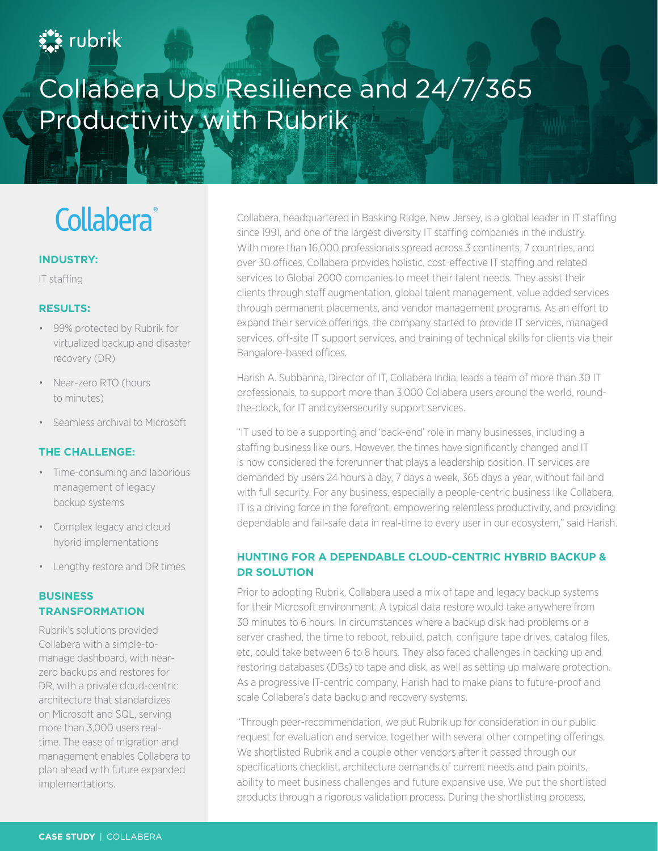### **A** rubrik

## Collabera Ups Resilience and 24/7/365 Productivity with Rubrik

# **Collabera**®

#### **INDUSTRY:**

IT staffing

#### **RESULTS:**

- 99% protected by Rubrik for virtualized backup and disaster recovery (DR)
- Near-zero RTO (hours to minutes)
- Seamless archival to Microsoft

#### **THE CHALLENGE:**

- Time-consuming and laborious management of legacy backup systems
- Complex legacy and cloud hybrid implementations
- Lengthy restore and DR times

#### **BUSINESS TRANSFORMATION**

Rubrik's solutions provided Collabera with a simple-tomanage dashboard, with nearzero backups and restores for DR, with a private cloud-centric architecture that standardizes on Microsoft and SQL, serving more than 3,000 users realtime. The ease of migration and management enables Collabera to plan ahead with future expanded implementations.

Collabera, headquartered in Basking Ridge, New Jersey, is a global leader in IT staffing since 1991, and one of the largest diversity IT staffing companies in the industry. With more than 16,000 professionals spread across 3 continents, 7 countries, and over 30 offices, Collabera provides holistic, cost-effective IT staffing and related services to Global 2000 companies to meet their talent needs. They assist their clients through staff augmentation, global talent management, value added services through permanent placements, and vendor management programs. As an effort to expand their service offerings, the company started to provide IT services, managed services, off-site IT support services, and training of technical skills for clients via their Bangalore-based offices.

Harish A. Subbanna, Director of IT, Collabera India, leads a team of more than 30 IT professionals, to support more than 3,000 Collabera users around the world, roundthe-clock, for IT and cybersecurity support services.

"IT used to be a supporting and 'back-end' role in many businesses, including a staffing business like ours. However, the times have significantly changed and IT is now considered the forerunner that plays a leadership position. IT services are demanded by users 24 hours a day, 7 days a week, 365 days a year, without fail and with full security. For any business, especially a people-centric business like Collabera, IT is a driving force in the forefront, empowering relentless productivity, and providing dependable and fail-safe data in real-time to every user in our ecosystem," said Harish.

#### **HUNTING FOR A DEPENDABLE CLOUD-CENTRIC HYBRID BACKUP & DR SOLUTION**

Prior to adopting Rubrik, Collabera used a mix of tape and legacy backup systems for their Microsoft environment. A typical data restore would take anywhere from 30 minutes to 6 hours. In circumstances where a backup disk had problems or a server crashed, the time to reboot, rebuild, patch, configure tape drives, catalog files, etc, could take between 6 to 8 hours. They also faced challenges in backing up and restoring databases (DBs) to tape and disk, as well as setting up malware protection. As a progressive IT-centric company, Harish had to make plans to future-proof and scale Collabera's data backup and recovery systems.

"Through peer-recommendation, we put Rubrik up for consideration in our public request for evaluation and service, together with several other competing offerings. We shortlisted Rubrik and a couple other vendors after it passed through our specifications checklist, architecture demands of current needs and pain points, ability to meet business challenges and future expansive use. We put the shortlisted products through a rigorous validation process. During the shortlisting process,